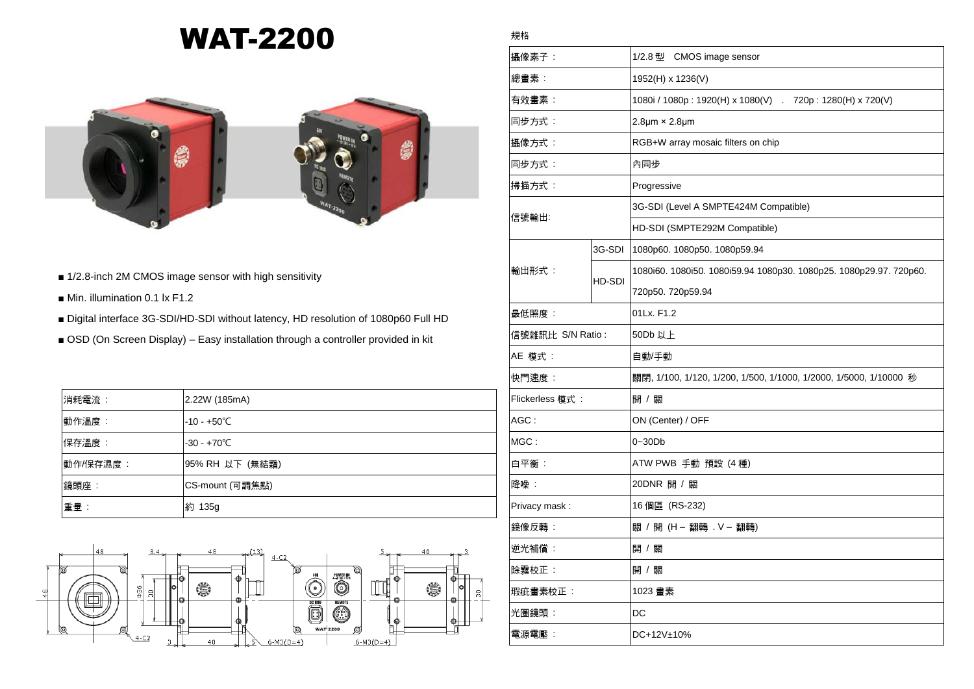## WAT-2200



- 1/2.8-inch 2M CMOS image sensor with high sensitivity
- Min. illumination 0.1 lx F1.2
- Digital interface 3G-SDI/HD-SDI without latency, HD resolution of 1080p60 Full HD
- OSD (On Screen Display) Easy installation through a controller provided in kit

| 消耗電流:    | 2.22W (185mA)        |
|----------|----------------------|
| 動作溫度:    | $-10 - +50^{\circ}C$ |
| 保存溫度:    | $-30 - +70^{\circ}C$ |
| 動作/保存濕度: | 95% RH 以下 (無結霜)      |
| 鏡頭座:     | CS-mount (可調焦點)      |
| 重量:      | 約 135g               |



## 規格

| 攝像素子:            |        | 1/2.8 型 CMOS image sensor                                          |
|------------------|--------|--------------------------------------------------------------------|
| 總畫素:             |        | 1952(H) x 1236(V)                                                  |
| 有效畫素:            |        | 1080i / 1080p: 1920(H) x 1080(V) . 720p: 1280(H) x 720(V)          |
| 同步方式:            |        | $2.8 \mu m \times 2.8 \mu m$                                       |
| 攝像方式:            |        | RGB+W array mosaic filters on chip                                 |
| 同步方式:            |        | 內同步                                                                |
| 掃描方式:            |        | Progressive                                                        |
| 信號輸出:            |        | 3G-SDI (Level A SMPTE424M Compatible)                              |
|                  |        | HD-SDI (SMPTE292M Compatible)                                      |
| 輸出形式:            | 3G-SDI | 1080p60. 1080p50. 1080p59.94                                       |
|                  | HD-SDI | 1080i60. 1080i50. 1080i59.94 1080p30. 1080p25. 1080p29.97. 720p60. |
|                  |        | 720p50.720p59.94                                                   |
| 最低照度:            |        | 01Lx. F1.2                                                         |
| 信號雜訊比 S/N Ratio: |        | 50Db 以上                                                            |
| AE 模式 :          |        | 自動/手動                                                              |
| 快門速度:            |        | 關閉, 1/100, 1/120, 1/200, 1/500, 1/1000, 1/2000, 1/5000, 1/10000 秒  |
| Flickerless 模式:  |        | 開 / 關                                                              |
| AGC:             |        | ON (Center) / OFF                                                  |
| MGC:             |        | $0 - 30Db$                                                         |
| 白平衡:             |        | ATW PWB 手動 預設 (4 種)                                                |
| 降噪:              |        | 20DNR 開 / 關                                                        |
| Privacy mask:    |        | 16 個區 (RS-232)                                                     |
| 鏡像反轉:            |        | 關 / 開 (H – 翻轉 . V – 翻轉)                                            |
| 逆光補償:            |        | 開 / 關                                                              |
| 除霧校正:            |        | 開 / 關                                                              |
| 瑕疵畫素校正:          |        | 1023 畫素                                                            |
| 光圈鏡頭:            |        | DC                                                                 |
| 電源電壓:            |        | DC+12V±10%                                                         |